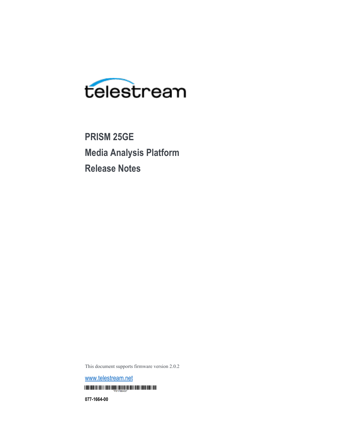

**PRISM 25GE Media Analysis Platform Release Notes**

This document supports firmware version 2.0.2

[www.telestream.net](http://www.telestream.net/) **THE REAL PROPERTY AND RELEASED FOR A 2000 BOTH DESIGNATION** 

**077-1664-00**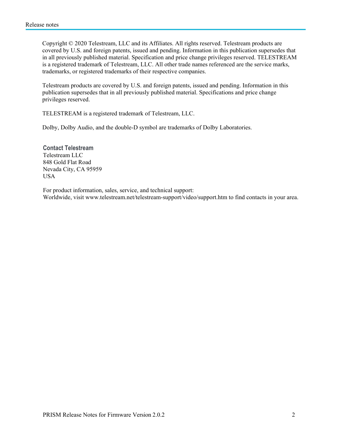Copyright © 2020 Telestream, LLC and its Affiliates. All rights reserved. Telestream products are covered by U.S. and foreign patents, issued and pending. Information in this publication supersedes that in all previously published material. Specification and price change privileges reserved. TELESTREAM is a registered trademark of Telestream, LLC. All other trade names referenced are the service marks, trademarks, or registered trademarks of their respective companies.

Telestream products are covered by U.S. and foreign patents, issued and pending. Information in this publication supersedes that in all previously published material. Specifications and price change privileges reserved.

TELESTREAM is a registered trademark of Telestream, LLC.

Dolby, Dolby Audio, and the double-D symbol are trademarks of Dolby Laboratories.

**Contact Telestream** Telestream LLC 848 Gold Flat Road Nevada City, CA 95959 USA

For product information, sales, service, and technical support: Worldwide, visit [www.telestream.net/telestream-support/video/support.htm](http://www.telestream.net/telestream-support/video/support.htm) to find contacts in your area.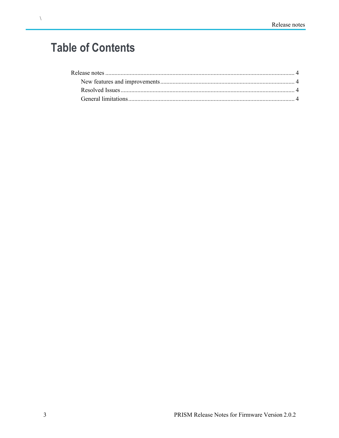## **Table of Contents**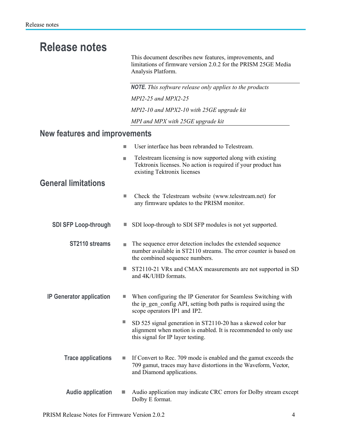## **Release notes**

This document describes new features, improvements, and limitations of firmware version 2.0.2 for the PRISM 25GE Media Analysis Platform.

<span id="page-3-0"></span>*NOTE. This software release only applies to the products MPI2-25 and MPX2-25 MPI2-10 and MPX2-10 with 25GE upgrade kit MPI and MPX with 25GE upgrade kit* **New features and improvements** User interface has been rebranded to Telestream. Ì. Telestream licensing is now supported along with existing  $\blacksquare$ Tektronix licenses. No action is required if your product has existing Tektronix licenses **General limitations** Check the Telestream website [\(www.telestream.net\)](http://(www.telestream.net/) for  $\mathcal{L}_{\mathcal{A}}$ any firmware updates to the PRISM monitor. **SDI SFP Loop-through**  $\blacksquare$  SDI loop-through to SDI SFP modules is not yet supported. **ST2110 streams** The sequence error detection includes the extended sequence number available in ST2110 streams. The error counter is based on the combined sequence numbers.

- $\Box$ ST2110-21 VRx and CMAX measurements are not supported in SD and 4K/UHD formats.
- **IP** Generator application **W** When configuring the IP Generator for Seamless Switching with the ip\_gen\_config API, setting both paths is required using the scope operators IP1 and IP2.
	- L. SD 525 signal generation in ST2110-20 has a skewed color bar alignment when motion is enabled. It is recommended to only use this signal for IP layer testing.
	- **Trace applications If Convert to Rec. 709 mode is enabled and the gamut exceeds the** 709 gamut, traces may have distortions in the Waveform, Vector, and Diamond applications.
	- **Audio application** Audio application may indicate CRC errors for Dolby stream except Dolby E format.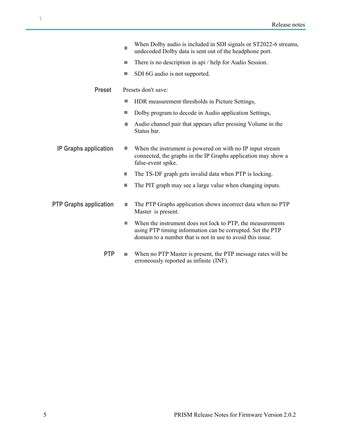|                               |    | When Dolby audio is included in SDI signals or ST2022-6 streams,<br>undecoded Dolby data is sent out of the headphone port.                                                            |
|-------------------------------|----|----------------------------------------------------------------------------------------------------------------------------------------------------------------------------------------|
|                               | ш  | There is no description in api / help for Audio Session.                                                                                                                               |
|                               | ш  | SDI 6G audio is not supported.                                                                                                                                                         |
| <b>Preset</b>                 |    | Presets don't save:                                                                                                                                                                    |
|                               | ш  | HDR measurement thresholds in Picture Settings,                                                                                                                                        |
|                               | П  | Dolby program to decode in Audio application Settings,                                                                                                                                 |
|                               | ш  | Audio channel pair that appears after pressing Volume in the<br>Status bar.                                                                                                            |
| <b>IP Graphs application</b>  | ш  | When the instrument is powered on with no IP input stream<br>connected, the graphs in the IP Graphs application may show a<br>false-event spike.                                       |
|                               | П  | The TS-DF graph gets invalid data when PTP is locking.                                                                                                                                 |
|                               | T. | The PIT graph may see a large value when changing inputs.                                                                                                                              |
| <b>PTP Graphs application</b> | n. | The PTP Graphs application shows incorrect data when no PTP<br>Master is present.                                                                                                      |
|                               | П  | When the instrument does not lock to PTP, the measurements<br>using PTP timing information can be corrupted. Set the PTP<br>domain to a number that is not in use to avoid this issue. |
| <b>PTP</b>                    | I. | When no PTP Master is present, the PTP message rates will be                                                                                                                           |

erroneously reported as infinite (INF).

 $\bar{\Delta}$